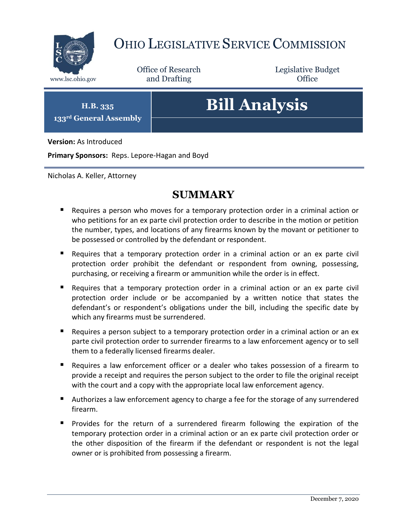

# OHIO LEGISLATIVE SERVICE COMMISSION

Office of Research www.lsc.ohio.gov **and Drafting Office** 

Legislative Budget

**H.B. 335 133rd General Assembly**

# **Bill Analysis**

**Version:** As Introduced

**Primary Sponsors:** Reps. Lepore-Hagan and Boyd

Nicholas A. Keller, Attorney

# **SUMMARY**

- Requires a person who moves for a temporary protection order in a criminal action or who petitions for an ex parte civil protection order to describe in the motion or petition the number, types, and locations of any firearms known by the movant or petitioner to be possessed or controlled by the defendant or respondent.
- Requires that a temporary protection order in a criminal action or an ex parte civil protection order prohibit the defendant or respondent from owning, possessing, purchasing, or receiving a firearm or ammunition while the order is in effect.
- Requires that a temporary protection order in a criminal action or an ex parte civil protection order include or be accompanied by a written notice that states the defendant's or respondent's obligations under the bill, including the specific date by which any firearms must be surrendered.
- **Requires a person subject to a temporary protection order in a criminal action or an ex** parte civil protection order to surrender firearms to a law enforcement agency or to sell them to a federally licensed firearms dealer.
- Requires a law enforcement officer or a dealer who takes possession of a firearm to provide a receipt and requires the person subject to the order to file the original receipt with the court and a copy with the appropriate local law enforcement agency.
- Authorizes a law enforcement agency to charge a fee for the storage of any surrendered firearm.
- **Provides for the return of a surrendered firearm following the expiration of the** temporary protection order in a criminal action or an ex parte civil protection order or the other disposition of the firearm if the defendant or respondent is not the legal owner or is prohibited from possessing a firearm.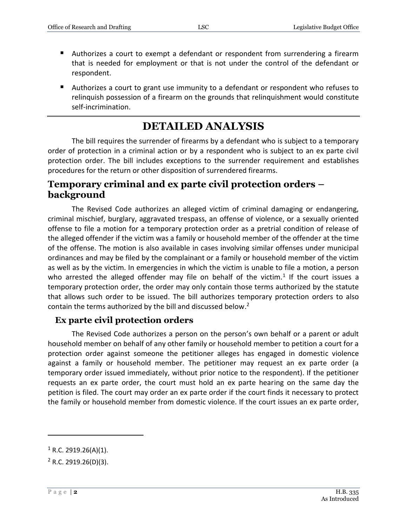- Authorizes a court to exempt a defendant or respondent from surrendering a firearm that is needed for employment or that is not under the control of the defendant or respondent.
- Authorizes a court to grant use immunity to a defendant or respondent who refuses to relinquish possession of a firearm on the grounds that relinquishment would constitute self-incrimination.

## **DETAILED ANALYSIS**

The bill requires the surrender of firearms by a defendant who is subject to a temporary order of protection in a criminal action or by a respondent who is subject to an ex parte civil protection order. The bill includes exceptions to the surrender requirement and establishes procedures for the return or other disposition of surrendered firearms.

#### **Temporary criminal and ex parte civil protection orders – background**

The Revised Code authorizes an alleged victim of criminal damaging or endangering, criminal mischief, burglary, aggravated trespass, an offense of violence, or a sexually oriented offense to file a motion for a temporary protection order as a pretrial condition of release of the alleged offender if the victim was a family or household member of the offender at the time of the offense. The motion is also available in cases involving similar offenses under municipal ordinances and may be filed by the complainant or a family or household member of the victim as well as by the victim. In emergencies in which the victim is unable to file a motion, a person who arrested the alleged offender may file on behalf of the victim.<sup>1</sup> If the court issues a temporary protection order, the order may only contain those terms authorized by the statute that allows such order to be issued. The bill authorizes temporary protection orders to also contain the terms authorized by the bill and discussed below.<sup>2</sup>

#### **Ex parte civil protection orders**

The Revised Code authorizes a person on the person's own behalf or a parent or adult household member on behalf of any other family or household member to petition a court for a protection order against someone the petitioner alleges has engaged in domestic violence against a family or household member. The petitioner may request an ex parte order (a temporary order issued immediately, without prior notice to the respondent). If the petitioner requests an ex parte order, the court must hold an ex parte hearing on the same day the petition is filed. The court may order an ex parte order if the court finds it necessary to protect the family or household member from domestic violence. If the court issues an ex parte order,

 $\overline{a}$ 

 $1$  R.C. 2919.26(A)(1).

 $2$  R.C. 2919.26(D)(3).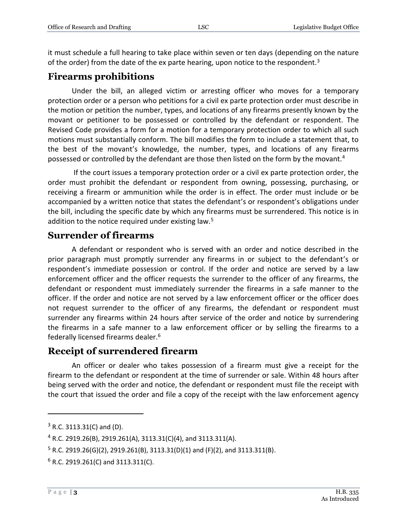it must schedule a full hearing to take place within seven or ten days (depending on the nature of the order) from the date of the ex parte hearing, upon notice to the respondent.<sup>3</sup>

### **Firearms prohibitions**

Under the bill, an alleged victim or arresting officer who moves for a temporary protection order or a person who petitions for a civil ex parte protection order must describe in the motion or petition the number, types, and locations of any firearms presently known by the movant or petitioner to be possessed or controlled by the defendant or respondent. The Revised Code provides a form for a motion for a temporary protection order to which all such motions must substantially conform. The bill modifies the form to include a statement that, to the best of the movant's knowledge, the number, types, and locations of any firearms possessed or controlled by the defendant are those then listed on the form by the movant.<sup>4</sup>

If the court issues a temporary protection order or a civil ex parte protection order, the order must prohibit the defendant or respondent from owning, possessing, purchasing, or receiving a firearm or ammunition while the order is in effect. The order must include or be accompanied by a written notice that states the defendant's or respondent's obligations under the bill, including the specific date by which any firearms must be surrendered. This notice is in addition to the notice required under existing law.<sup>5</sup>

#### **Surrender of firearms**

A defendant or respondent who is served with an order and notice described in the prior paragraph must promptly surrender any firearms in or subject to the defendant's or respondent's immediate possession or control. If the order and notice are served by a law enforcement officer and the officer requests the surrender to the officer of any firearms, the defendant or respondent must immediately surrender the firearms in a safe manner to the officer. If the order and notice are not served by a law enforcement officer or the officer does not request surrender to the officer of any firearms, the defendant or respondent must surrender any firearms within 24 hours after service of the order and notice by surrendering the firearms in a safe manner to a law enforcement officer or by selling the firearms to a federally licensed firearms dealer.<sup>6</sup>

#### **Receipt of surrendered firearm**

An officer or dealer who takes possession of a firearm must give a receipt for the firearm to the defendant or respondent at the time of surrender or sale. Within 48 hours after being served with the order and notice, the defendant or respondent must file the receipt with the court that issued the order and file a copy of the receipt with the law enforcement agency

 $\overline{a}$ 

<sup>3</sup> R.C. 3113.31(C) and (D).

<sup>4</sup> R.C. 2919.26(B), 2919.261(A), 3113.31(C)(4), and 3113.311(A).

 $5$  R.C. 2919.26(G)(2), 2919.261(B), 3113.31(D)(1) and (F)(2), and 3113.311(B).

 $6$  R.C. 2919.261(C) and 3113.311(C).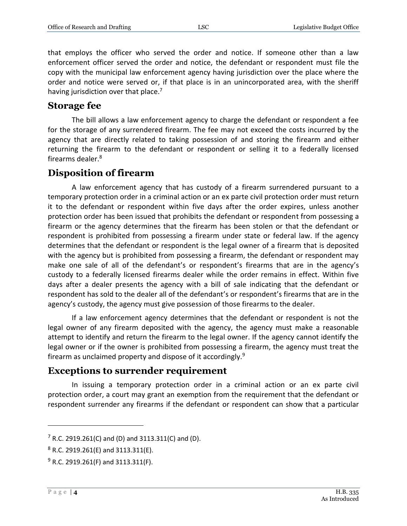that employs the officer who served the order and notice. If someone other than a law enforcement officer served the order and notice, the defendant or respondent must file the copy with the municipal law enforcement agency having jurisdiction over the place where the order and notice were served or, if that place is in an unincorporated area, with the sheriff having jurisdiction over that place.<sup>7</sup>

#### **Storage fee**

The bill allows a law enforcement agency to charge the defendant or respondent a fee for the storage of any surrendered firearm. The fee may not exceed the costs incurred by the agency that are directly related to taking possession of and storing the firearm and either returning the firearm to the defendant or respondent or selling it to a federally licensed firearms dealer.<sup>8</sup>

#### **Disposition of firearm**

A law enforcement agency that has custody of a firearm surrendered pursuant to a temporary protection order in a criminal action or an ex parte civil protection order must return it to the defendant or respondent within five days after the order expires, unless another protection order has been issued that prohibits the defendant or respondent from possessing a firearm or the agency determines that the firearm has been stolen or that the defendant or respondent is prohibited from possessing a firearm under state or federal law. If the agency determines that the defendant or respondent is the legal owner of a firearm that is deposited with the agency but is prohibited from possessing a firearm, the defendant or respondent may make one sale of all of the defendant's or respondent's firearms that are in the agency's custody to a federally licensed firearms dealer while the order remains in effect. Within five days after a dealer presents the agency with a bill of sale indicating that the defendant or respondent has sold to the dealer all of the defendant's or respondent's firearms that are in the agency's custody, the agency must give possession of those firearms to the dealer.

If a law enforcement agency determines that the defendant or respondent is not the legal owner of any firearm deposited with the agency, the agency must make a reasonable attempt to identify and return the firearm to the legal owner. If the agency cannot identify the legal owner or if the owner is prohibited from possessing a firearm, the agency must treat the firearm as unclaimed property and dispose of it accordingly.<sup>9</sup>

#### **Exceptions to surrender requirement**

In issuing a temporary protection order in a criminal action or an ex parte civil protection order, a court may grant an exemption from the requirement that the defendant or respondent surrender any firearms if the defendant or respondent can show that a particular

 $\overline{a}$ 

 $7$  R.C. 2919.261(C) and (D) and 3113.311(C) and (D).

 $8$  R.C. 2919.261(E) and 3113.311(E).

 $9$  R.C. 2919.261(F) and 3113.311(F).